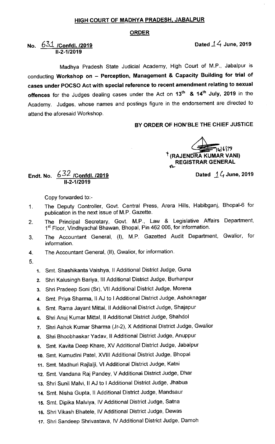## HIGH COURT OF MADHYA PRADESH. JABALPUR

## **ORDER**

No.  $631$  /Confdl. /2019  $\blacksquare$ 11-2-1/2019

Madhya Pradesh State Judicial Academy, High Court of M.P., Jabalpur is conducting Workshop on - Perception, Management & Capacity Building for trial of cases under POCSO Act with special reference to recent amendment relating to sexual offences for the Judges dealing cases under the Act on 13<sup>th</sup> & 14<sup>th</sup> July, 2019 in the Academy. Judges, whose names and postings figure in the endorsement are directed to attend the aforesaid Workshop.

BY ORDER OF HON'BLE THE CHIEF JUSTICE

 $\sum_{\alpha}$ ๆน16 (19 <sup>t</sup> (RAJENDRA KUMAR VANI) REGISTRAR GENERAL S)

Dated  $1/4$  June, 2019

Endt. No. <u>6.<sup>52</sup> /Confdl. /2019</u> 11-2-1/2019

Copy forwarded to:-

- 1. The Deputy Controller, Govt. Central Press, Arera Hills, Habibganj, Bhopal-6 for publication in the next issue of M.P. Gazette.
- 2. The Principal Secretary, Govt. M.P., Law & Legislative Affairs Department, 1st Floor, Vindhyachal Bhawan, Bhopal, Pin 462 006, for information.
- 3. The Accountant General, (I), M.P. Gazetted Audit Department, Gwalior, for information.
- 4. The Accountant General, (ll), Gwalior, for information.
- 5.
- 1. Smt. Shashikanta Vaishya, II Additional District Judge, Guna
- 2. Shri Kalusingh Bariya, III Additional District Judge, Burhanpur
- 3. Shri Pradeep Soni (Sr), Vll Additional District Judge, Morena
- 4. Smt. Priya Sharma, II AJ to I Additional District Judge, Ashoknagar
- 5. Smt. Rama Jayant Mittal, 11 Additional District Judge, Shajapur
- 6. Shri Anuj Kumar Mittal, 11 Additional District Judge, Shahdol
- 7. Shri Ashok Kumar Sharma (Jr-2), X Additional District Judge, Gwalior
- 8. Shri Bhoobhaskar Yadav, II Additional District Judge, Anuppur
- 9. Smt. Kavita Deep Khare, XV Additional District Judge, Jabalpur
- 10. Smt. Kumudini Patel, XVIII Additional District Judge, Bhopal
- 11. Smt. Madhuri Rajlalji, VI Additional District Judge, Katni
- 12. Smt. Vandana Raj Pandey, V Additional District Judge, Dhar
- 13. Shri Sunil Malvi, II AJ to I Additional District Judge, Jhabua
- 14. Smt. Nisha Gupta, II Additional District Judge, Mandsaur
- 15. Smt. Dipika Malviya, lv Additional District Judge, Satna
- 16. Shri Vikash Bhatele, lv Additional District Judge, Dewas
- 17. Shri Sandeep Shrivastava, lv Additional District Judge, Damoh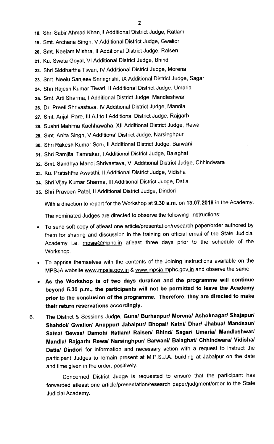- 18. Shri Sabir Ahmad Khan,ll Additional District Judge, Ratlam
- 19. Smt. Archana Singh, V Additional District Judge, Gwalior
- 2o. Smt. Neelem Mishra, 11 Additional District Judge, Raisen
- 21. Ku. Sweta Goyal, VI Additional District Judge, Bhind
- 22. Shri Siddhartha Tiwari, IV Additional District Judge, Morena
- 23. Smt. Neelu Sanjeev Shringrishi, lx Additional District Judge, Sagar
- 24. Shri Rajesh Kumar Tiwari, II Additional District Judge, Umaria
- 25. Smt. Arti Sharma, I Additional District Judge, Mandleshwar
- 26. Dr. Preeti Shrivastava, lv Additional District Judge, Mandla
- 27. Smt. Anjali Pare, Ill AJ to I Additional District Judge, Rajgarh
- 28. Sushri Mahima Kachhawaha, XII Additional District Judge, Rewa
- 29. Smt. Anita Singh, V Additional District Judge, Narsinghpur
- 3o. Shri Rakesh Kumar Soni, 11 Additional District Judge, Barwani
- 31. Shri Ramjilal Tamrakar,I Additional District Judge, Balaghat
- 32. Smt. Sandhya Manoj Shrivastava, VI Additional District Judge, Chhindwara
- 33. Ku. Pratishtha Awasthi, 11 Additional District Judge, Vidisha
- 34. Shri Vijay Kumar Sharma, III Additional District Judge, Datia
- 35. Shri Praveen Patel, 11 Additional District Judge, Dindori

With a direction to report for the Workshop at 9.30 a.m. on 13.07.2019 in the Academy.

The nominated Judges are directed to observe the following instructions:

- To send soft copy of atleast one article/presentation/research paper/order authored by them for sharing and discussion in the training on official email Of the State Judicial Academy i.e. mpsja@mphc.in atleast three days prior to the schedule of the Workshop.
- To apprise themselves with the contents of the Joining Instructions available on the MPSJA website www.mpsja.gov.in & www.mpsja.mphc.gov.in and observe the same.
- As the Workshop is of two days duration and the programme will continue beyond 5.30 p.m., the participants will not be permitted to leave the Academy prior to the conclusion of the programme. Therefore, they are directed to make their return reservations accordingly.
- The District & Sessions Judge, Guna/ Burhanpur/ Morena/ Ashoknagar/ Shajapur/ 6. Shahdol/ Gwalior/ Anuppur/ Jabalpur/ Bhopal/ Katni/ Dhar/ Jhabua/ Mandsaur/ Satna/ Dewas/ Damoh/ Ratlam/ Raisen/ Bhind/ Sagar/ Umaria/ Mandleshwar/ Mandla/ Rajgarh/ Rewa/ Narsinghpur/ Barwani/ Balaghat/ Chhindwara/ Vidisha/ Datia/ Dindori for information and necessary action with a request to instruct the participant Judges to remain present at M.P.S.JA. buiiding at Jabalpur on the date and time given in the order, positively.

Concerned District Judge is requested to ensure that the participant has forwarded atleast one article/presentation/research paper/judgment/order to the State Judicial Academy.